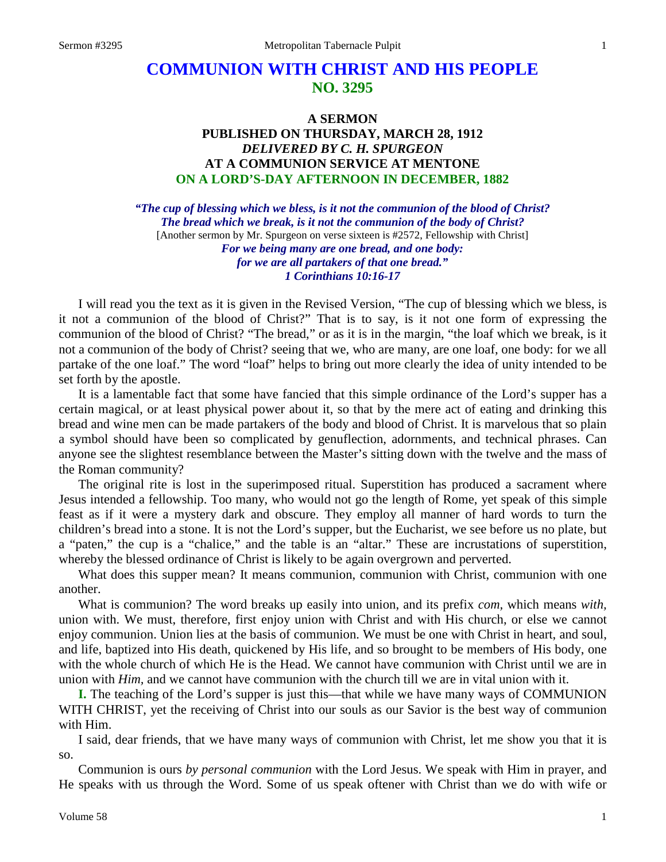# **COMMUNION WITH CHRIST AND HIS PEOPLE NO. 3295**

# **A SERMON PUBLISHED ON THURSDAY, MARCH 28, 1912** *DELIVERED BY C. H. SPURGEON* **AT A COMMUNION SERVICE AT MENTONE ON A LORD'S-DAY AFTERNOON IN DECEMBER, 1882**

*"The cup of blessing which we bless, is it not the communion of the blood of Christ? The bread which we break, is it not the communion of the body of Christ?* [Another sermon by Mr. Spurgeon on verse sixteen is #2572, Fellowship with Christ] *For we being many are one bread, and one body: for we are all partakers of that one bread." 1 Corinthians 10:16-17*

I will read you the text as it is given in the Revised Version, "The cup of blessing which we bless, is it not a communion of the blood of Christ?" That is to say, is it not one form of expressing the communion of the blood of Christ? "The bread," or as it is in the margin, "the loaf which we break, is it not a communion of the body of Christ? seeing that we, who are many, are one loaf, one body: for we all partake of the one loaf." The word "loaf" helps to bring out more clearly the idea of unity intended to be set forth by the apostle.

It is a lamentable fact that some have fancied that this simple ordinance of the Lord's supper has a certain magical, or at least physical power about it, so that by the mere act of eating and drinking this bread and wine men can be made partakers of the body and blood of Christ. It is marvelous that so plain a symbol should have been so complicated by genuflection, adornments, and technical phrases. Can anyone see the slightest resemblance between the Master's sitting down with the twelve and the mass of the Roman community?

The original rite is lost in the superimposed ritual. Superstition has produced a sacrament where Jesus intended a fellowship. Too many, who would not go the length of Rome, yet speak of this simple feast as if it were a mystery dark and obscure. They employ all manner of hard words to turn the children's bread into a stone. It is not the Lord's supper, but the Eucharist, we see before us no plate, but a "paten," the cup is a "chalice," and the table is an "altar." These are incrustations of superstition, whereby the blessed ordinance of Christ is likely to be again overgrown and perverted.

What does this supper mean? It means communion, communion with Christ, communion with one another.

What is communion? The word breaks up easily into union, and its prefix *com,* which means *with,*  union with. We must, therefore, first enjoy union with Christ and with His church, or else we cannot enjoy communion. Union lies at the basis of communion. We must be one with Christ in heart, and soul, and life, baptized into His death, quickened by His life, and so brought to be members of His body, one with the whole church of which He is the Head. We cannot have communion with Christ until we are in union with *Him,* and we cannot have communion with the church till we are in vital union with it.

**I.** The teaching of the Lord's supper is just this—that while we have many ways of COMMUNION WITH CHRIST, yet the receiving of Christ into our souls as our Savior is the best way of communion with Him.

I said, dear friends, that we have many ways of communion with Christ, let me show you that it is so.

Communion is ours *by personal communion* with the Lord Jesus. We speak with Him in prayer, and He speaks with us through the Word. Some of us speak oftener with Christ than we do with wife or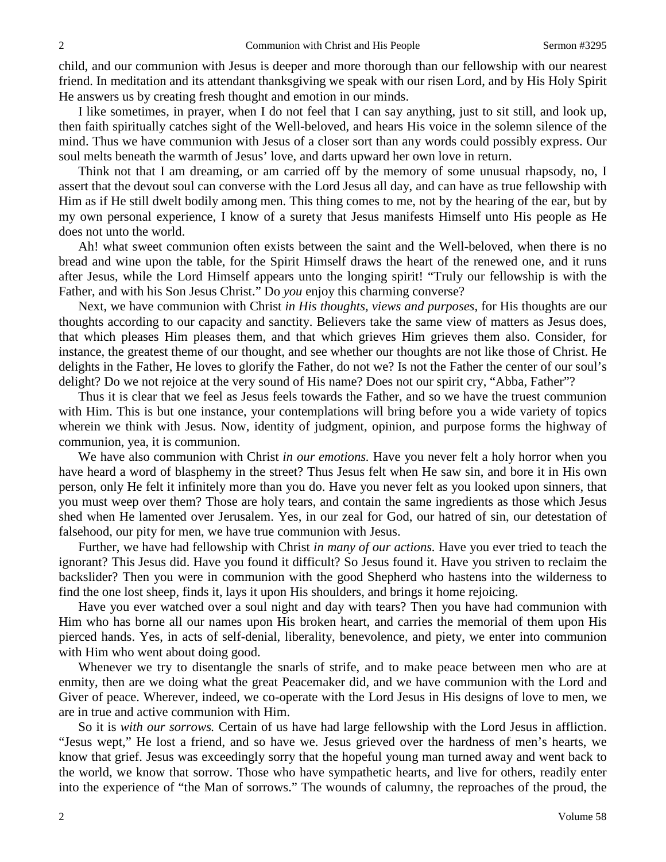child, and our communion with Jesus is deeper and more thorough than our fellowship with our nearest friend. In meditation and its attendant thanksgiving we speak with our risen Lord, and by His Holy Spirit He answers us by creating fresh thought and emotion in our minds.

I like sometimes, in prayer, when I do not feel that I can say anything, just to sit still, and look up, then faith spiritually catches sight of the Well-beloved, and hears His voice in the solemn silence of the mind. Thus we have communion with Jesus of a closer sort than any words could possibly express. Our soul melts beneath the warmth of Jesus' love, and darts upward her own love in return.

Think not that I am dreaming, or am carried off by the memory of some unusual rhapsody, no, I assert that the devout soul can converse with the Lord Jesus all day, and can have as true fellowship with Him as if He still dwelt bodily among men. This thing comes to me, not by the hearing of the ear, but by my own personal experience, I know of a surety that Jesus manifests Himself unto His people as He does not unto the world.

Ah! what sweet communion often exists between the saint and the Well-beloved, when there is no bread and wine upon the table, for the Spirit Himself draws the heart of the renewed one, and it runs after Jesus, while the Lord Himself appears unto the longing spirit! "Truly our fellowship is with the Father, and with his Son Jesus Christ." Do *you* enjoy this charming converse?

Next, we have communion with Christ *in His thoughts, views and purposes,* for His thoughts are our thoughts according to our capacity and sanctity. Believers take the same view of matters as Jesus does, that which pleases Him pleases them, and that which grieves Him grieves them also. Consider, for instance, the greatest theme of our thought, and see whether our thoughts are not like those of Christ. He delights in the Father, He loves to glorify the Father, do not we? Is not the Father the center of our soul's delight? Do we not rejoice at the very sound of His name? Does not our spirit cry, "Abba, Father"?

Thus it is clear that we feel as Jesus feels towards the Father, and so we have the truest communion with Him. This is but one instance, your contemplations will bring before you a wide variety of topics wherein we think with Jesus. Now, identity of judgment, opinion, and purpose forms the highway of communion, yea, it is communion.

We have also communion with Christ *in our emotions*. Have you never felt a holy horror when you have heard a word of blasphemy in the street? Thus Jesus felt when He saw sin, and bore it in His own person, only He felt it infinitely more than you do. Have you never felt as you looked upon sinners, that you must weep over them? Those are holy tears, and contain the same ingredients as those which Jesus shed when He lamented over Jerusalem. Yes, in our zeal for God, our hatred of sin, our detestation of falsehood, our pity for men, we have true communion with Jesus.

Further, we have had fellowship with Christ *in many of our actions.* Have you ever tried to teach the ignorant? This Jesus did. Have you found it difficult? So Jesus found it. Have you striven to reclaim the backslider? Then you were in communion with the good Shepherd who hastens into the wilderness to find the one lost sheep, finds it, lays it upon His shoulders, and brings it home rejoicing.

Have you ever watched over a soul night and day with tears? Then you have had communion with Him who has borne all our names upon His broken heart, and carries the memorial of them upon His pierced hands. Yes, in acts of self-denial, liberality, benevolence, and piety, we enter into communion with Him who went about doing good.

Whenever we try to disentangle the snarls of strife, and to make peace between men who are at enmity, then are we doing what the great Peacemaker did, and we have communion with the Lord and Giver of peace. Wherever, indeed, we co-operate with the Lord Jesus in His designs of love to men, we are in true and active communion with Him.

So it is *with our sorrows.* Certain of us have had large fellowship with the Lord Jesus in affliction. "Jesus wept," He lost a friend, and so have we. Jesus grieved over the hardness of men's hearts, we know that grief. Jesus was exceedingly sorry that the hopeful young man turned away and went back to the world, we know that sorrow. Those who have sympathetic hearts, and live for others, readily enter into the experience of "the Man of sorrows." The wounds of calumny, the reproaches of the proud, the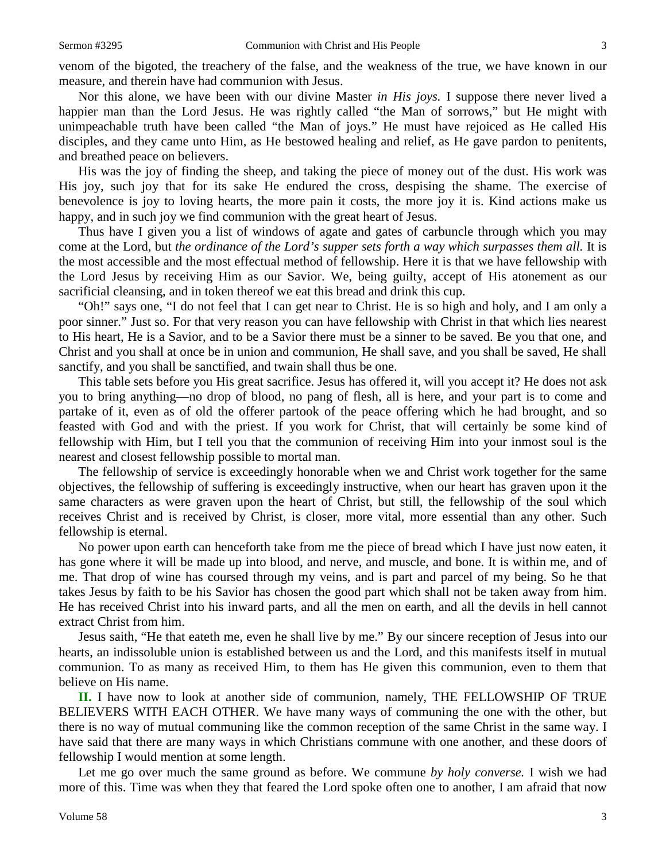venom of the bigoted, the treachery of the false, and the weakness of the true, we have known in our measure, and therein have had communion with Jesus.

Nor this alone, we have been with our divine Master *in His joys.* I suppose there never lived a happier man than the Lord Jesus. He was rightly called "the Man of sorrows," but He might with unimpeachable truth have been called "the Man of joys." He must have rejoiced as He called His disciples, and they came unto Him, as He bestowed healing and relief, as He gave pardon to penitents, and breathed peace on believers.

His was the joy of finding the sheep, and taking the piece of money out of the dust. His work was His joy, such joy that for its sake He endured the cross, despising the shame. The exercise of benevolence is joy to loving hearts, the more pain it costs, the more joy it is. Kind actions make us happy, and in such joy we find communion with the great heart of Jesus.

Thus have I given you a list of windows of agate and gates of carbuncle through which you may come at the Lord, but *the ordinance of the Lord's supper sets forth a way which surpasses them all.* It is the most accessible and the most effectual method of fellowship. Here it is that we have fellowship with the Lord Jesus by receiving Him as our Savior. We, being guilty, accept of His atonement as our sacrificial cleansing, and in token thereof we eat this bread and drink this cup.

"Oh!" says one, "I do not feel that I can get near to Christ. He is so high and holy, and I am only a poor sinner." Just so. For that very reason you can have fellowship with Christ in that which lies nearest to His heart, He is a Savior, and to be a Savior there must be a sinner to be saved. Be you that one, and Christ and you shall at once be in union and communion, He shall save, and you shall be saved, He shall sanctify, and you shall be sanctified, and twain shall thus be one.

This table sets before you His great sacrifice. Jesus has offered it, will you accept it? He does not ask you to bring anything—no drop of blood, no pang of flesh, all is here, and your part is to come and partake of it, even as of old the offerer partook of the peace offering which he had brought, and so feasted with God and with the priest. If you work for Christ, that will certainly be some kind of fellowship with Him, but I tell you that the communion of receiving Him into your inmost soul is the nearest and closest fellowship possible to mortal man.

The fellowship of service is exceedingly honorable when we and Christ work together for the same objectives, the fellowship of suffering is exceedingly instructive, when our heart has graven upon it the same characters as were graven upon the heart of Christ, but still, the fellowship of the soul which receives Christ and is received by Christ, is closer, more vital, more essential than any other. Such fellowship is eternal.

No power upon earth can henceforth take from me the piece of bread which I have just now eaten, it has gone where it will be made up into blood, and nerve, and muscle, and bone. It is within me, and of me. That drop of wine has coursed through my veins, and is part and parcel of my being. So he that takes Jesus by faith to be his Savior has chosen the good part which shall not be taken away from him. He has received Christ into his inward parts, and all the men on earth, and all the devils in hell cannot extract Christ from him.

Jesus saith, "He that eateth me, even he shall live by me." By our sincere reception of Jesus into our hearts, an indissoluble union is established between us and the Lord, and this manifests itself in mutual communion. To as many as received Him, to them has He given this communion, even to them that believe on His name.

**II.** I have now to look at another side of communion, namely, THE FELLOWSHIP OF TRUE BELIEVERS WITH EACH OTHER. We have many ways of communing the one with the other, but there is no way of mutual communing like the common reception of the same Christ in the same way. I have said that there are many ways in which Christians commune with one another, and these doors of fellowship I would mention at some length.

Let me go over much the same ground as before. We commune *by holy converse.* I wish we had more of this. Time was when they that feared the Lord spoke often one to another, I am afraid that now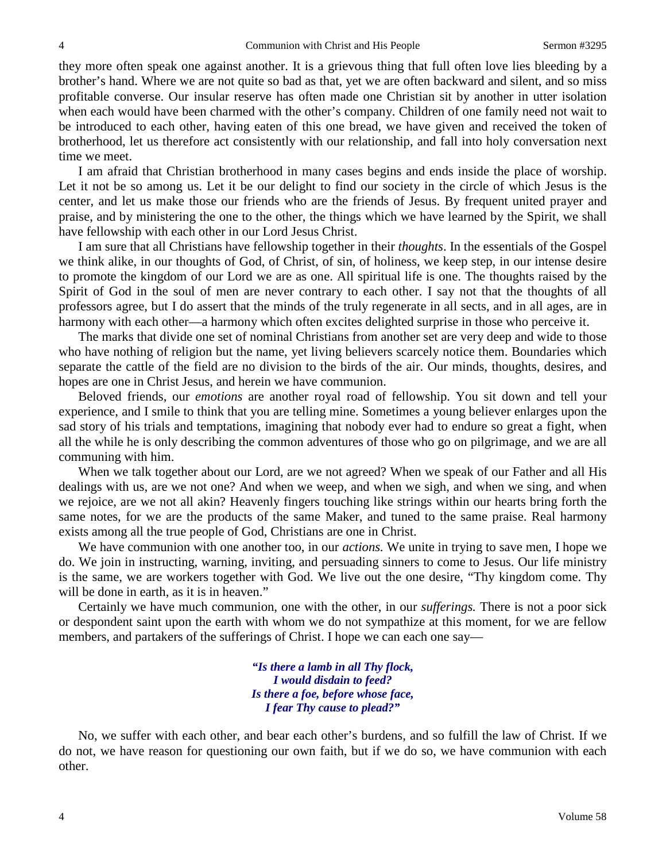they more often speak one against another. It is a grievous thing that full often love lies bleeding by a brother's hand. Where we are not quite so bad as that, yet we are often backward and silent, and so miss profitable converse. Our insular reserve has often made one Christian sit by another in utter isolation when each would have been charmed with the other's company. Children of one family need not wait to be introduced to each other, having eaten of this one bread, we have given and received the token of brotherhood, let us therefore act consistently with our relationship, and fall into holy conversation next time we meet.

I am afraid that Christian brotherhood in many cases begins and ends inside the place of worship. Let it not be so among us. Let it be our delight to find our society in the circle of which Jesus is the center, and let us make those our friends who are the friends of Jesus. By frequent united prayer and praise, and by ministering the one to the other, the things which we have learned by the Spirit, we shall have fellowship with each other in our Lord Jesus Christ.

I am sure that all Christians have fellowship together in their *thoughts*. In the essentials of the Gospel we think alike, in our thoughts of God, of Christ, of sin, of holiness, we keep step, in our intense desire to promote the kingdom of our Lord we are as one. All spiritual life is one. The thoughts raised by the Spirit of God in the soul of men are never contrary to each other. I say not that the thoughts of all professors agree, but I do assert that the minds of the truly regenerate in all sects, and in all ages, are in harmony with each other—a harmony which often excites delighted surprise in those who perceive it.

The marks that divide one set of nominal Christians from another set are very deep and wide to those who have nothing of religion but the name, yet living believers scarcely notice them. Boundaries which separate the cattle of the field are no division to the birds of the air. Our minds, thoughts, desires, and hopes are one in Christ Jesus, and herein we have communion.

Beloved friends, our *emotions* are another royal road of fellowship. You sit down and tell your experience, and I smile to think that you are telling mine. Sometimes a young believer enlarges upon the sad story of his trials and temptations, imagining that nobody ever had to endure so great a fight, when all the while he is only describing the common adventures of those who go on pilgrimage, and we are all communing with him.

When we talk together about our Lord, are we not agreed? When we speak of our Father and all His dealings with us, are we not one? And when we weep, and when we sigh, and when we sing, and when we rejoice, are we not all akin? Heavenly fingers touching like strings within our hearts bring forth the same notes, for we are the products of the same Maker, and tuned to the same praise. Real harmony exists among all the true people of God, Christians are one in Christ.

We have communion with one another too, in our *actions.* We unite in trying to save men, I hope we do. We join in instructing, warning, inviting, and persuading sinners to come to Jesus. Our life ministry is the same, we are workers together with God. We live out the one desire, "Thy kingdom come. Thy will be done in earth, as it is in heaven."

Certainly we have much communion, one with the other, in our *sufferings.* There is not a poor sick or despondent saint upon the earth with whom we do not sympathize at this moment, for we are fellow members, and partakers of the sufferings of Christ. I hope we can each one say—

> *"Is there a lamb in all Thy flock, I would disdain to feed? Is there a foe, before whose face, I fear Thy cause to plead?"*

No, we suffer with each other, and bear each other's burdens, and so fulfill the law of Christ. If we do not, we have reason for questioning our own faith, but if we do so, we have communion with each other.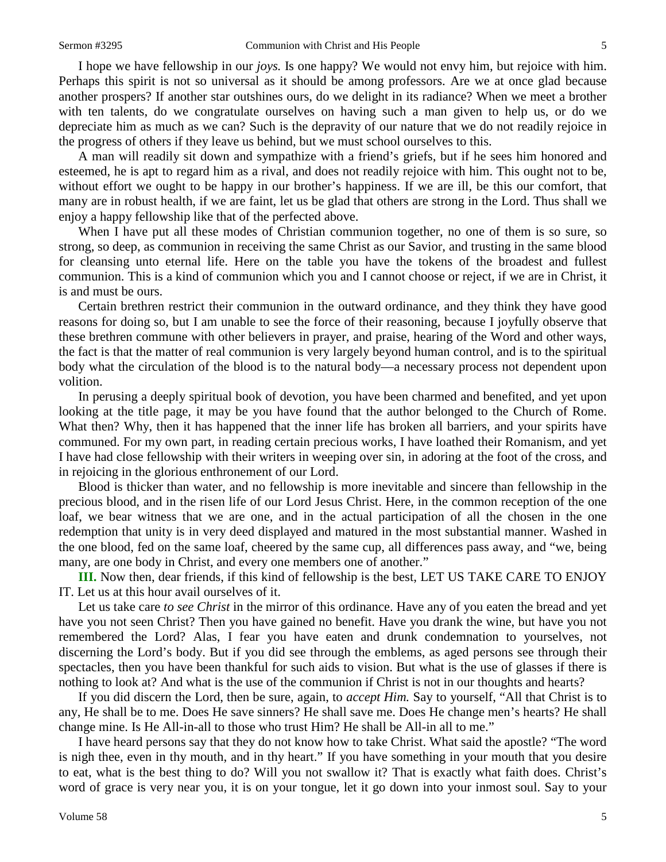I hope we have fellowship in our *joys.* Is one happy? We would not envy him, but rejoice with him. Perhaps this spirit is not so universal as it should be among professors. Are we at once glad because another prospers? If another star outshines ours, do we delight in its radiance? When we meet a brother with ten talents, do we congratulate ourselves on having such a man given to help us, or do we depreciate him as much as we can? Such is the depravity of our nature that we do not readily rejoice in the progress of others if they leave us behind, but we must school ourselves to this.

A man will readily sit down and sympathize with a friend's griefs, but if he sees him honored and esteemed, he is apt to regard him as a rival, and does not readily rejoice with him. This ought not to be, without effort we ought to be happy in our brother's happiness. If we are ill, be this our comfort, that many are in robust health, if we are faint, let us be glad that others are strong in the Lord. Thus shall we enjoy a happy fellowship like that of the perfected above.

When I have put all these modes of Christian communion together, no one of them is so sure, so strong, so deep, as communion in receiving the same Christ as our Savior, and trusting in the same blood for cleansing unto eternal life. Here on the table you have the tokens of the broadest and fullest communion. This is a kind of communion which you and I cannot choose or reject, if we are in Christ, it is and must be ours.

Certain brethren restrict their communion in the outward ordinance, and they think they have good reasons for doing so, but I am unable to see the force of their reasoning, because I joyfully observe that these brethren commune with other believers in prayer, and praise, hearing of the Word and other ways, the fact is that the matter of real communion is very largely beyond human control, and is to the spiritual body what the circulation of the blood is to the natural body—a necessary process not dependent upon volition.

In perusing a deeply spiritual book of devotion, you have been charmed and benefited, and yet upon looking at the title page, it may be you have found that the author belonged to the Church of Rome. What then? Why, then it has happened that the inner life has broken all barriers, and your spirits have communed. For my own part, in reading certain precious works, I have loathed their Romanism, and yet I have had close fellowship with their writers in weeping over sin, in adoring at the foot of the cross, and in rejoicing in the glorious enthronement of our Lord.

Blood is thicker than water, and no fellowship is more inevitable and sincere than fellowship in the precious blood, and in the risen life of our Lord Jesus Christ. Here, in the common reception of the one loaf, we bear witness that we are one, and in the actual participation of all the chosen in the one redemption that unity is in very deed displayed and matured in the most substantial manner. Washed in the one blood, fed on the same loaf, cheered by the same cup, all differences pass away, and "we, being many, are one body in Christ, and every one members one of another."

**III.** Now then, dear friends, if this kind of fellowship is the best, LET US TAKE CARE TO ENJOY IT. Let us at this hour avail ourselves of it.

Let us take care *to see Christ* in the mirror of this ordinance. Have any of you eaten the bread and yet have you not seen Christ? Then you have gained no benefit. Have you drank the wine, but have you not remembered the Lord? Alas, I fear you have eaten and drunk condemnation to yourselves, not discerning the Lord's body. But if you did see through the emblems, as aged persons see through their spectacles, then you have been thankful for such aids to vision. But what is the use of glasses if there is nothing to look at? And what is the use of the communion if Christ is not in our thoughts and hearts?

If you did discern the Lord, then be sure, again, to *accept Him.* Say to yourself, "All that Christ is to any, He shall be to me. Does He save sinners? He shall save me. Does He change men's hearts? He shall change mine. Is He All-in-all to those who trust Him? He shall be All-in all to me."

I have heard persons say that they do not know how to take Christ. What said the apostle? "The word is nigh thee, even in thy mouth, and in thy heart." If you have something in your mouth that you desire to eat, what is the best thing to do? Will you not swallow it? That is exactly what faith does. Christ's word of grace is very near you, it is on your tongue, let it go down into your inmost soul. Say to your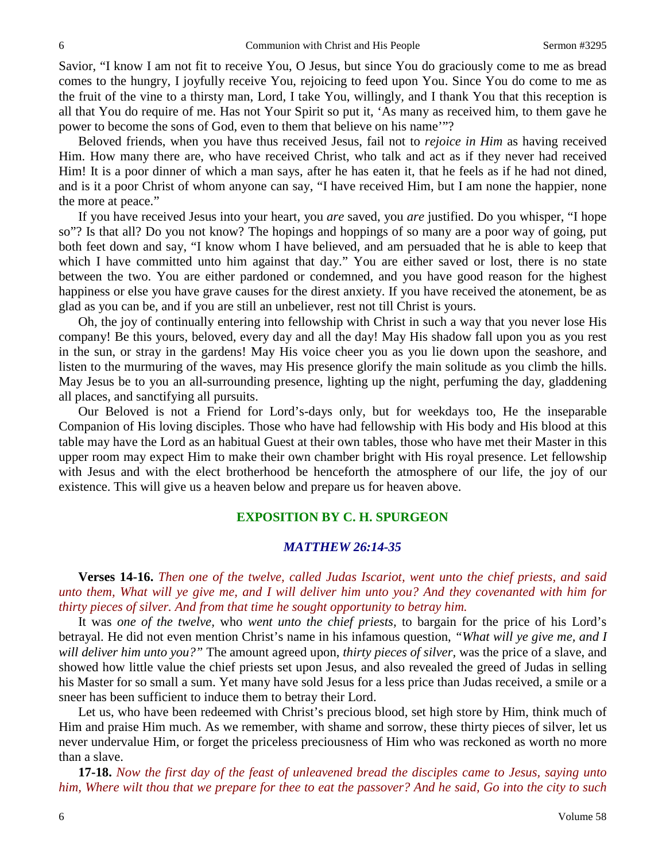Savior, "I know I am not fit to receive You, O Jesus, but since You do graciously come to me as bread comes to the hungry, I joyfully receive You, rejoicing to feed upon You. Since You do come to me as the fruit of the vine to a thirsty man, Lord, I take You, willingly, and I thank You that this reception is all that You do require of me. Has not Your Spirit so put it, 'As many as received him, to them gave he power to become the sons of God, even to them that believe on his name'"?

Beloved friends, when you have thus received Jesus, fail not to *rejoice in Him* as having received Him. How many there are, who have received Christ, who talk and act as if they never had received Him! It is a poor dinner of which a man says, after he has eaten it, that he feels as if he had not dined, and is it a poor Christ of whom anyone can say, "I have received Him, but I am none the happier, none the more at peace."

If you have received Jesus into your heart, you *are* saved, you *are* justified. Do you whisper, "I hope so"? Is that all? Do you not know? The hopings and hoppings of so many are a poor way of going, put both feet down and say, "I know whom I have believed, and am persuaded that he is able to keep that which I have committed unto him against that day." You are either saved or lost, there is no state between the two. You are either pardoned or condemned, and you have good reason for the highest happiness or else you have grave causes for the direst anxiety. If you have received the atonement, be as glad as you can be, and if you are still an unbeliever, rest not till Christ is yours.

Oh, the joy of continually entering into fellowship with Christ in such a way that you never lose His company! Be this yours, beloved, every day and all the day! May His shadow fall upon you as you rest in the sun, or stray in the gardens! May His voice cheer you as you lie down upon the seashore, and listen to the murmuring of the waves, may His presence glorify the main solitude as you climb the hills. May Jesus be to you an all-surrounding presence, lighting up the night, perfuming the day, gladdening all places, and sanctifying all pursuits.

Our Beloved is not a Friend for Lord's-days only, but for weekdays too, He the inseparable Companion of His loving disciples. Those who have had fellowship with His body and His blood at this table may have the Lord as an habitual Guest at their own tables, those who have met their Master in this upper room may expect Him to make their own chamber bright with His royal presence. Let fellowship with Jesus and with the elect brotherhood be henceforth the atmosphere of our life, the joy of our existence. This will give us a heaven below and prepare us for heaven above.

### **EXPOSITION BY C. H. SPURGEON**

#### *MATTHEW 26:14-35*

**Verses 14-16.** *Then one of the twelve, called Judas Iscariot, went unto the chief priests, and said unto them, What will ye give me, and I will deliver him unto you? And they covenanted with him for thirty pieces of silver. And from that time he sought opportunity to betray him.*

It was *one of the twelve,* who *went unto the chief priests,* to bargain for the price of his Lord's betrayal. He did not even mention Christ's name in his infamous question, *"What will ye give me, and I will deliver him unto you?"* The amount agreed upon, *thirty pieces of silver,* was the price of a slave, and showed how little value the chief priests set upon Jesus, and also revealed the greed of Judas in selling his Master for so small a sum. Yet many have sold Jesus for a less price than Judas received, a smile or a sneer has been sufficient to induce them to betray their Lord.

Let us, who have been redeemed with Christ's precious blood, set high store by Him, think much of Him and praise Him much. As we remember, with shame and sorrow, these thirty pieces of silver, let us never undervalue Him, or forget the priceless preciousness of Him who was reckoned as worth no more than a slave.

**17-18.** *Now the first day of the feast of unleavened bread the disciples came to Jesus, saying unto him, Where wilt thou that we prepare for thee to eat the passover? And he said, Go into the city to such*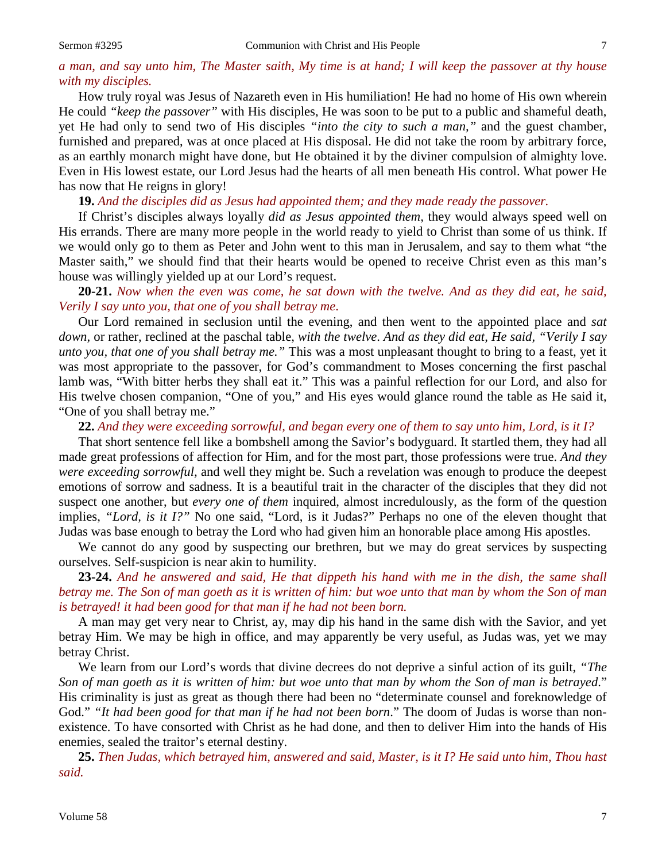## *a man, and say unto him, The Master saith, My time is at hand; I will keep the passover at thy house with my disciples.*

How truly royal was Jesus of Nazareth even in His humiliation! He had no home of His own wherein He could *"keep the passover"* with His disciples, He was soon to be put to a public and shameful death, yet He had only to send two of His disciples *"into the city to such a man,"* and the guest chamber, furnished and prepared, was at once placed at His disposal. He did not take the room by arbitrary force, as an earthly monarch might have done, but He obtained it by the diviner compulsion of almighty love. Even in His lowest estate, our Lord Jesus had the hearts of all men beneath His control. What power He has now that He reigns in glory!

**19.** *And the disciples did as Jesus had appointed them; and they made ready the passover.*

If Christ's disciples always loyally *did as Jesus appointed them,* they would always speed well on His errands. There are many more people in the world ready to yield to Christ than some of us think. If we would only go to them as Peter and John went to this man in Jerusalem, and say to them what "the Master saith," we should find that their hearts would be opened to receive Christ even as this man's house was willingly yielded up at our Lord's request.

**20-21.** *Now when the even was come, he sat down with the twelve. And as they did eat, he said, Verily I say unto you, that one of you shall betray me*.

Our Lord remained in seclusion until the evening, and then went to the appointed place and *sat down,* or rather, reclined at the paschal table, *with the twelve*. *And as they did eat, He said, "Verily I say unto you, that one of you shall betray me."* This was a most unpleasant thought to bring to a feast, yet it was most appropriate to the passover, for God's commandment to Moses concerning the first paschal lamb was, "With bitter herbs they shall eat it." This was a painful reflection for our Lord, and also for His twelve chosen companion, "One of you," and His eyes would glance round the table as He said it, "One of you shall betray me."

**22.** *And they were exceeding sorrowful, and began every one of them to say unto him, Lord, is it I?*

That short sentence fell like a bombshell among the Savior's bodyguard. It startled them, they had all made great professions of affection for Him, and for the most part, those professions were true. *And they were exceeding sorrowful,* and well they might be. Such a revelation was enough to produce the deepest emotions of sorrow and sadness. It is a beautiful trait in the character of the disciples that they did not suspect one another, but *every one of them* inquired, almost incredulously, as the form of the question implies, *"Lord, is it I?"* No one said, "Lord, is it Judas?" Perhaps no one of the eleven thought that Judas was base enough to betray the Lord who had given him an honorable place among His apostles.

We cannot do any good by suspecting our brethren, but we may do great services by suspecting ourselves. Self-suspicion is near akin to humility.

**23-24.** *And he answered and said, He that dippeth his hand with me in the dish, the same shall betray me. The Son of man goeth as it is written of him: but woe unto that man by whom the Son of man is betrayed! it had been good for that man if he had not been born.*

A man may get very near to Christ, ay, may dip his hand in the same dish with the Savior, and yet betray Him. We may be high in office, and may apparently be very useful, as Judas was, yet we may betray Christ.

We learn from our Lord's words that divine decrees do not deprive a sinful action of its guilt, *"The Son of man goeth as it is written of him: but woe unto that man by whom the Son of man is betrayed*." His criminality is just as great as though there had been no "determinate counsel and foreknowledge of God." *"It had been good for that man if he had not been born*." The doom of Judas is worse than nonexistence. To have consorted with Christ as he had done, and then to deliver Him into the hands of His enemies, sealed the traitor's eternal destiny.

**25.** *Then Judas, which betrayed him, answered and said, Master, is it I? He said unto him, Thou hast said.*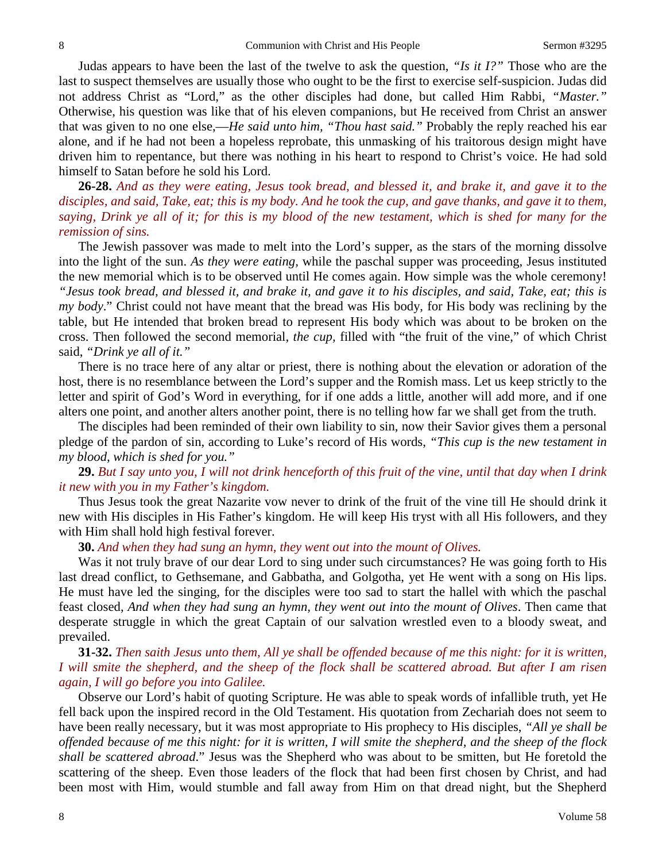Judas appears to have been the last of the twelve to ask the question, *"Is it I?"* Those who are the last to suspect themselves are usually those who ought to be the first to exercise self-suspicion. Judas did not address Christ as "Lord," as the other disciples had done, but called Him Rabbi, *"Master."* Otherwise, his question was like that of his eleven companions, but He received from Christ an answer that was given to no one else,—*He said unto him, "Thou hast said."* Probably the reply reached his ear alone, and if he had not been a hopeless reprobate, this unmasking of his traitorous design might have driven him to repentance, but there was nothing in his heart to respond to Christ's voice. He had sold himself to Satan before he sold his Lord.

**26-28.** *And as they were eating, Jesus took bread, and blessed it, and brake it, and gave it to the disciples, and said, Take, eat; this is my body. And he took the cup, and gave thanks, and gave it to them, saying, Drink ye all of it; for this is my blood of the new testament, which is shed for many for the remission of sins.*

The Jewish passover was made to melt into the Lord's supper, as the stars of the morning dissolve into the light of the sun. *As they were eating,* while the paschal supper was proceeding, Jesus instituted the new memorial which is to be observed until He comes again. How simple was the whole ceremony! *"Jesus took bread, and blessed it, and brake it, and gave it to his disciples, and said, Take, eat; this is my body*." Christ could not have meant that the bread was His body, for His body was reclining by the table, but He intended that broken bread to represent His body which was about to be broken on the cross. Then followed the second memorial, *the cup,* filled with "the fruit of the vine," of which Christ said, *"Drink ye all of it."*

There is no trace here of any altar or priest, there is nothing about the elevation or adoration of the host, there is no resemblance between the Lord's supper and the Romish mass. Let us keep strictly to the letter and spirit of God's Word in everything, for if one adds a little, another will add more, and if one alters one point, and another alters another point, there is no telling how far we shall get from the truth.

The disciples had been reminded of their own liability to sin, now their Savior gives them a personal pledge of the pardon of sin, according to Luke's record of His words, *"This cup is the new testament in my blood, which is shed for you."* 

**29.** *But I say unto you, I will not drink henceforth of this fruit of the vine, until that day when I drink it new with you in my Father's kingdom.*

Thus Jesus took the great Nazarite vow never to drink of the fruit of the vine till He should drink it new with His disciples in His Father's kingdom. He will keep His tryst with all His followers, and they with Him shall hold high festival forever.

**30.** *And when they had sung an hymn, they went out into the mount of Olives.*

Was it not truly brave of our dear Lord to sing under such circumstances? He was going forth to His last dread conflict, to Gethsemane, and Gabbatha, and Golgotha, yet He went with a song on His lips. He must have led the singing, for the disciples were too sad to start the hallel with which the paschal feast closed, *And when they had sung an hymn, they went out into the mount of Olives*. Then came that desperate struggle in which the great Captain of our salvation wrestled even to a bloody sweat, and prevailed.

**31-32.** *Then saith Jesus unto them, All ye shall be offended because of me this night: for it is written, I* will smite the shepherd, and the sheep of the flock shall be scattered abroad. But after I am risen *again, I will go before you into Galilee.*

Observe our Lord's habit of quoting Scripture. He was able to speak words of infallible truth, yet He fell back upon the inspired record in the Old Testament. His quotation from Zechariah does not seem to have been really necessary, but it was most appropriate to His prophecy to His disciples, *"All ye shall be offended because of me this night: for it is written, I will smite the shepherd, and the sheep of the flock shall be scattered abroad*." Jesus was the Shepherd who was about to be smitten, but He foretold the scattering of the sheep. Even those leaders of the flock that had been first chosen by Christ, and had been most with Him, would stumble and fall away from Him on that dread night, but the Shepherd